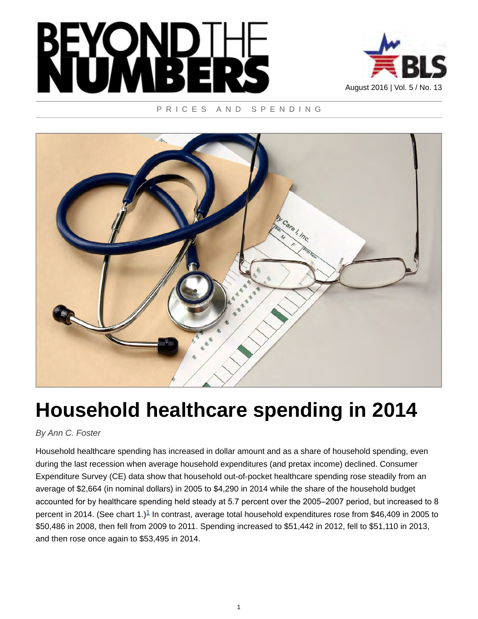



# PRICES AND SPENDING



# **Household healthcare spending in 2014**

# *By Ann C. Foster*

<span id="page-0-0"></span>Household healthcare spending has increased in dollar amount and as a share of household spending, even during the last recession when average household expenditures (and pretax income) declined. Consumer Expenditure Survey (CE) data show that household out-of-pocket healthcare spending rose steadily from an average of \$2,664 (in nominal dollars) in 2005 to \$4,290 in 2014 while the share of the household budget accounted for by healthcare spending held steady at 5.7 percent over the 2005–2007 period, but increased to 8 percent in 20[1](#page-11-0)4. (See chart 1.)<sup>1</sup> In contrast, average total household expenditures rose from \$46,409 in 2005 to \$50,486 in 2008, then fell from 2009 to 2011. Spending increased to \$51,442 in 2012, fell to \$51,110 in 2013, and then rose once again to \$53,495 in 2014.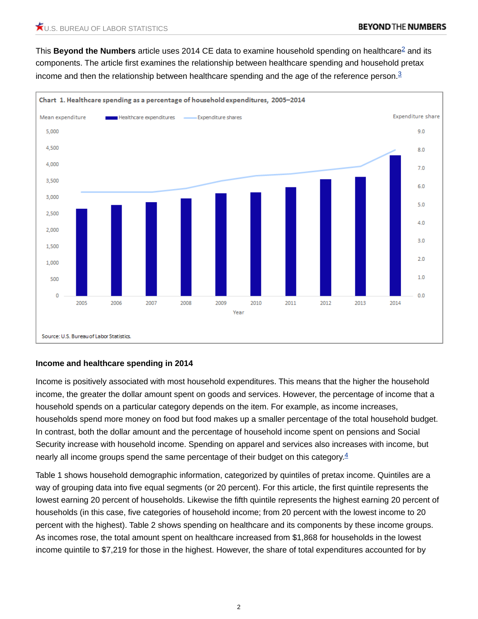<span id="page-1-1"></span><span id="page-1-0"></span>This **Beyond the Numbers** article uses [2](#page-11-1)014 CE data to examine household spending on healthcare<sup>2</sup> and its components. The article first examines the relationship between healthcare spending and household pretax income and then the relationship between healthcare spending and the age of the reference person.<sup>[3](#page-11-2)</sup>



# **Income and healthcare spending in 2014**

Income is positively associated with most household expenditures. This means that the higher the household income, the greater the dollar amount spent on goods and services. However, the percentage of income that a household spends on a particular category depends on the item. For example, as income increases, households spend more money on food but food makes up a smaller percentage of the total household budget. In contrast, both the dollar amount and the percentage of household income spent on pensions and Social Security increase with household income. Spending on apparel and services also increases with income, but nearly all income groups spend the same percentage of their budget on this category. $4$ 

<span id="page-1-2"></span>Table 1 shows household demographic information, categorized by quintiles of pretax income. Quintiles are a way of grouping data into five equal segments (or 20 percent). For this article, the first quintile represents the lowest earning 20 percent of households. Likewise the fifth quintile represents the highest earning 20 percent of households (in this case, five categories of household income; from 20 percent with the lowest income to 20 percent with the highest). Table 2 shows spending on healthcare and its components by these income groups. As incomes rose, the total amount spent on healthcare increased from \$1,868 for households in the lowest income quintile to \$7,219 for those in the highest. However, the share of total expenditures accounted for by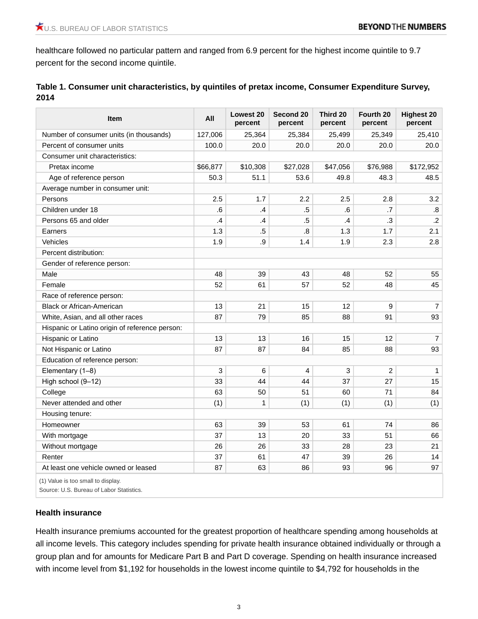healthcare followed no particular pattern and ranged from 6.9 percent for the highest income quintile to 9.7 percent for the second income quintile.

| Table 1. Consumer unit characteristics, by quintiles of pretax income, Consumer Expenditure Survey, |
|-----------------------------------------------------------------------------------------------------|
| 2014                                                                                                |

| Item                                           | All           | <b>Lowest 20</b><br>percent | Second 20<br>percent | Third 20<br>percent | Fourth 20<br>percent | <b>Highest 20</b><br>percent |
|------------------------------------------------|---------------|-----------------------------|----------------------|---------------------|----------------------|------------------------------|
| Number of consumer units (in thousands)        | 127,006       | 25,364                      | 25,384               | 25,499              | 25,349               | 25,410                       |
| Percent of consumer units                      | 100.0         | 20.0                        | 20.0                 | 20.0                | 20.0                 | 20.0                         |
| Consumer unit characteristics:                 |               |                             |                      |                     |                      |                              |
| Pretax income                                  | \$66,877      | \$10,308                    | \$27,028             | \$47,056            | \$76,988             | \$172,952                    |
| Age of reference person                        | 50.3          | 51.1                        | 53.6                 | 49.8                | 48.3                 | 48.5                         |
| Average number in consumer unit:               |               |                             |                      |                     |                      |                              |
| Persons                                        | 2.5           | 1.7                         | 2.2                  | 2.5                 | 2.8                  | 3.2                          |
| Children under 18                              | .6            | $\mathbf{.4}$               | $.5\,$               | 6.6                 | .7                   | .8                           |
| Persons 65 and older                           | $\mathbf{.4}$ | $\cdot$                     | $.5\,$               | $\mathcal{A}$       | $\cdot$ 3            | $\cdot$ .2                   |
| Earners                                        | 1.3           | $.5\,$                      | .8                   | 1.3                 | 1.7                  | 2.1                          |
| Vehicles                                       | 1.9           | .9                          | 1.4                  | 1.9                 | 2.3                  | 2.8                          |
| Percent distribution:                          |               |                             |                      |                     |                      |                              |
| Gender of reference person:                    |               |                             |                      |                     |                      |                              |
| Male                                           | 48            | 39                          | 43                   | 48                  | 52                   | 55                           |
| Female                                         | 52            | 61                          | 57                   | 52                  | 48                   | 45                           |
| Race of reference person:                      |               |                             |                      |                     |                      |                              |
| <b>Black or African-American</b>               | 13            | 21                          | 15                   | 12                  | 9                    | $\overline{7}$               |
| White, Asian, and all other races              | 87            | 79                          | 85                   | 88                  | 91                   | 93                           |
| Hispanic or Latino origin of reference person: |               |                             |                      |                     |                      |                              |
| Hispanic or Latino                             | 13            | 13                          | 16                   | 15                  | 12                   | $\overline{7}$               |
| Not Hispanic or Latino                         | 87            | 87                          | 84                   | 85                  | 88                   | 93                           |
| Education of reference person:                 |               |                             |                      |                     |                      |                              |
| Elementary (1-8)                               | 3             | 6                           | $\overline{4}$       | 3                   | $\overline{c}$       | $\mathbf{1}$                 |
| High school (9-12)                             | 33            | 44                          | 44                   | 37                  | 27                   | 15                           |
| College                                        | 63            | 50                          | 51                   | 60                  | 71                   | 84                           |
| Never attended and other                       | (1)           | $\mathbf{1}$                | (1)                  | (1)                 | (1)                  | (1)                          |
| Housing tenure:                                |               |                             |                      |                     |                      |                              |
| Homeowner                                      | 63            | 39                          | 53                   | 61                  | 74                   | 86                           |
| With mortgage                                  | 37            | 13                          | 20                   | 33                  | 51                   | 66                           |
| Without mortgage                               | 26            | 26                          | 33                   | 28                  | 23                   | 21                           |
| Renter                                         | 37            | 61                          | 47                   | 39                  | 26                   | 14                           |
| At least one vehicle owned or leased           | 87            | 63                          | 86                   | 93                  | 96                   | 97                           |
| (1) Value is too small to display.             |               |                             |                      |                     |                      |                              |

Source: U.S. Bureau of Labor Statistics.

## **Health insurance**

Health insurance premiums accounted for the greatest proportion of healthcare spending among households at all income levels. This category includes spending for private health insurance obtained individually or through a group plan and for amounts for Medicare Part B and Part D coverage. Spending on health insurance increased with income level from \$1,192 for households in the lowest income quintile to \$4,792 for households in the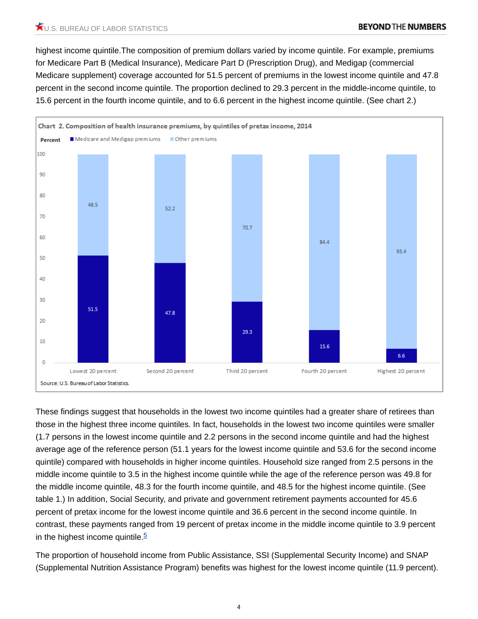highest income quintile.The composition of premium dollars varied by income quintile. For example, premiums for Medicare Part B (Medical Insurance), Medicare Part D (Prescription Drug), and Medigap (commercial Medicare supplement) coverage accounted for 51.5 percent of premiums in the lowest income quintile and 47.8 percent in the second income quintile. The proportion declined to 29.3 percent in the middle-income quintile, to 15.6 percent in the fourth income quintile, and to 6.6 percent in the highest income quintile. (See chart 2.)



These findings suggest that households in the lowest two income quintiles had a greater share of retirees than those in the highest three income quintiles. In fact, households in the lowest two income quintiles were smaller (1.7 persons in the lowest income quintile and 2.2 persons in the second income quintile and had the highest average age of the reference person (51.1 years for the lowest income quintile and 53.6 for the second income quintile) compared with households in higher income quintiles. Household size ranged from 2.5 persons in the middle income quintile to 3.5 in the highest income quintile while the age of the reference person was 49.8 for the middle income quintile, 48.3 for the fourth income quintile, and 48.5 for the highest income quintile. (See table 1.) In addition, Social Security, and private and government retirement payments accounted for 45.6 percent of pretax income for the lowest income quintile and 36.6 percent in the second income quintile. In contrast, these payments ranged from 19 percent of pretax income in the middle income quintile to 3.9 percent in the highest income quintile. $\frac{5}{5}$  $\frac{5}{5}$  $\frac{5}{5}$ 

<span id="page-3-0"></span>The proportion of household income from Public Assistance, SSI (Supplemental Security Income) and SNAP (Supplemental Nutrition Assistance Program) benefits was highest for the lowest income quintile (11.9 percent).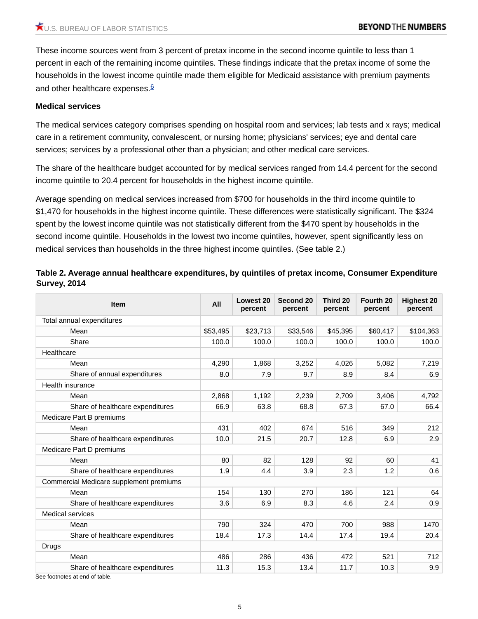These income sources went from 3 percent of pretax income in the second income quintile to less than 1 percent in each of the remaining income quintiles. These findings indicate that the pretax income of some the households in the lowest income quintile made them eligible for Medicaid assistance with premium payments and other healthcare expenses.<sup>[6](#page-12-0)</sup>

## <span id="page-4-0"></span>**Medical services**

The medical services category comprises spending on hospital room and services; lab tests and x rays; medical care in a retirement community, convalescent, or nursing home; physicians' services; eye and dental care services; services by a professional other than a physician; and other medical care services.

The share of the healthcare budget accounted for by medical services ranged from 14.4 percent for the second income quintile to 20.4 percent for households in the highest income quintile.

Average spending on medical services increased from \$700 for households in the third income quintile to \$1,470 for households in the highest income quintile. These differences were statistically significant. The \$324 spent by the lowest income quintile was not statistically different from the \$470 spent by households in the second income quintile. Households in the lowest two income quintiles, however, spent significantly less on medical services than households in the three highest income quintiles. (See table 2.)

| <b>Item</b>                             | All      | <b>Lowest 20</b><br>percent | Second 20<br>percent | Third 20<br>percent | Fourth 20<br>percent | <b>Highest 20</b><br>percent |
|-----------------------------------------|----------|-----------------------------|----------------------|---------------------|----------------------|------------------------------|
| Total annual expenditures               |          |                             |                      |                     |                      |                              |
| Mean                                    | \$53,495 | \$23,713                    | \$33,546             | \$45,395            | \$60,417             | \$104,363                    |
| Share                                   | 100.0    | 100.0                       | 100.0                | 100.0               | 100.0                | 100.0                        |
| Healthcare                              |          |                             |                      |                     |                      |                              |
| Mean                                    | 4,290    | 1,868                       | 3,252                | 4,026               | 5,082                | 7,219                        |
| Share of annual expenditures            | 8.0      | 7.9                         | 9.7                  | 8.9                 | 8.4                  | 6.9                          |
| Health insurance                        |          |                             |                      |                     |                      |                              |
| Mean                                    | 2,868    | 1,192                       | 2,239                | 2,709               | 3,406                | 4,792                        |
| Share of healthcare expenditures        | 66.9     | 63.8                        | 68.8                 | 67.3                | 67.0                 | 66.4                         |
| Medicare Part B premiums                |          |                             |                      |                     |                      |                              |
| Mean                                    | 431      | 402                         | 674                  | 516                 | 349                  | 212                          |
| Share of healthcare expenditures        | 10.0     | 21.5                        | 20.7                 | 12.8                | 6.9                  | 2.9                          |
| Medicare Part D premiums                |          |                             |                      |                     |                      |                              |
| Mean                                    | 80       | 82                          | 128                  | 92                  | 60                   | 41                           |
| Share of healthcare expenditures        | 1.9      | 4.4                         | 3.9                  | 2.3                 | 1.2                  | 0.6                          |
| Commercial Medicare supplement premiums |          |                             |                      |                     |                      |                              |
| Mean                                    | 154      | 130                         | 270                  | 186                 | 121                  | 64                           |
| Share of healthcare expenditures        | 3.6      | 6.9                         | 8.3                  | 4.6                 | 2.4                  | 0.9                          |
| <b>Medical services</b>                 |          |                             |                      |                     |                      |                              |
| Mean                                    | 790      | 324                         | 470                  | 700                 | 988                  | 1470                         |
| Share of healthcare expenditures        | 18.4     | 17.3                        | 14.4                 | 17.4                | 19.4                 | 20.4                         |
| <b>Drugs</b>                            |          |                             |                      |                     |                      |                              |
| Mean                                    | 486      | 286                         | 436                  | 472                 | 521                  | 712                          |
| Share of healthcare expenditures        | 11.3     | 15.3                        | 13.4                 | 11.7                | 10.3                 | 9.9                          |

# **Table 2. Average annual healthcare expenditures, by quintiles of pretax income, Consumer Expenditure Survey, 2014**

See footnotes at end of table.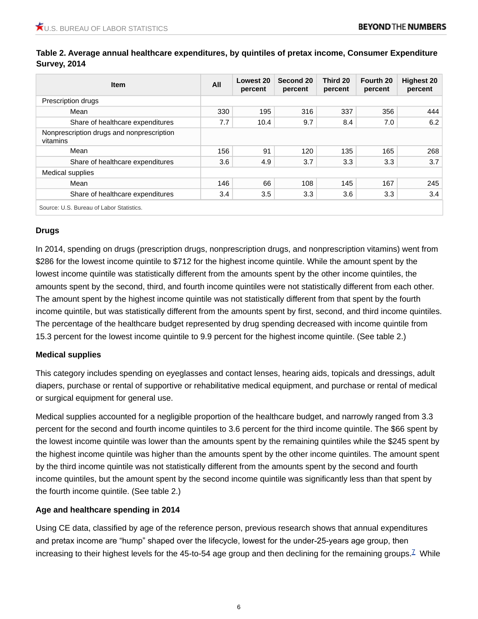| <b>Item</b>                                           | All | Lowest 20<br>percent | Second 20<br>percent | Third 20<br>percent | Fourth 20<br>percent | <b>Highest 20</b><br>percent |
|-------------------------------------------------------|-----|----------------------|----------------------|---------------------|----------------------|------------------------------|
| Prescription drugs                                    |     |                      |                      |                     |                      |                              |
| Mean                                                  | 330 | 195                  | 316                  | 337                 | 356                  | 444                          |
| Share of healthcare expenditures                      | 7.7 | 10.4                 | 9.7                  | 8.4                 | 7.0                  | 6.2                          |
| Nonprescription drugs and nonprescription<br>vitamins |     |                      |                      |                     |                      |                              |
| Mean                                                  | 156 | 91                   | 120                  | 135                 | 165                  | 268                          |
| Share of healthcare expenditures                      | 3.6 | 4.9                  | 3.7                  | 3.3                 | 3.3                  | 3.7                          |
| <b>Medical supplies</b>                               |     |                      |                      |                     |                      |                              |
| Mean                                                  | 146 | 66                   | 108                  | 145                 | 167                  | 245                          |
| Share of healthcare expenditures                      | 3.4 | 3.5                  | 3.3                  | 3.6                 | 3.3                  | 3.4                          |

**Table 2. Average annual healthcare expenditures, by quintiles of pretax income, Consumer Expenditure Survey, 2014**

## **Drugs**

In 2014, spending on drugs (prescription drugs, nonprescription drugs, and nonprescription vitamins) went from \$286 for the lowest income quintile to \$712 for the highest income quintile. While the amount spent by the lowest income quintile was statistically different from the amounts spent by the other income quintiles, the amounts spent by the second, third, and fourth income quintiles were not statistically different from each other. The amount spent by the highest income quintile was not statistically different from that spent by the fourth income quintile, but was statistically different from the amounts spent by first, second, and third income quintiles. The percentage of the healthcare budget represented by drug spending decreased with income quintile from 15.3 percent for the lowest income quintile to 9.9 percent for the highest income quintile. (See table 2.)

## **Medical supplies**

This category includes spending on eyeglasses and contact lenses, hearing aids, topicals and dressings, adult diapers, purchase or rental of supportive or rehabilitative medical equipment, and purchase or rental of medical or surgical equipment for general use.

Medical supplies accounted for a negligible proportion of the healthcare budget, and narrowly ranged from 3.3 percent for the second and fourth income quintiles to 3.6 percent for the third income quintile. The \$66 spent by the lowest income quintile was lower than the amounts spent by the remaining quintiles while the \$245 spent by the highest income quintile was higher than the amounts spent by the other income quintiles. The amount spent by the third income quintile was not statistically different from the amounts spent by the second and fourth income quintiles, but the amount spent by the second income quintile was significantly less than that spent by the fourth income quintile. (See table 2.)

# **Age and healthcare spending in 2014**

<span id="page-5-0"></span>Using CE data, classified by age of the reference person, previous research shows that annual expenditures and pretax income are "hump" shaped over the lifecycle, lowest for the under-25-years age group, then increasing to their highest levels for the 45-to-54 age group and then declining for the remaining groups.<sup>[7](#page-12-1)</sup> While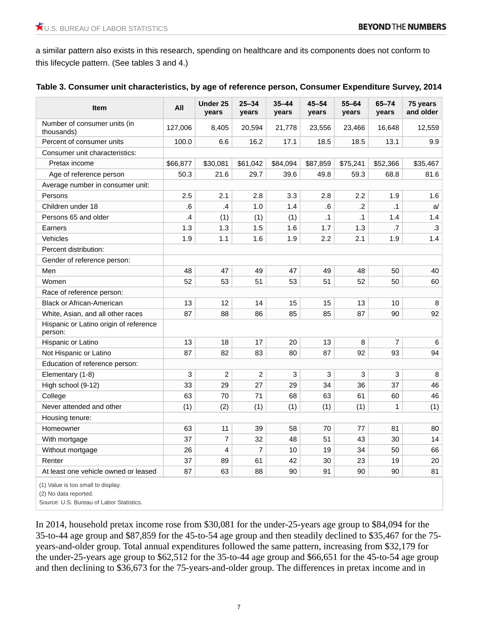a similar pattern also exists in this research, spending on healthcare and its components does not conform to this lifecycle pattern. (See tables 3 and 4.)

|  |  |  |  | Table 3. Consumer unit characteristics, by age of reference person, Consumer Expenditure Survey, 2014 |  |
|--|--|--|--|-------------------------------------------------------------------------------------------------------|--|
|--|--|--|--|-------------------------------------------------------------------------------------------------------|--|

| <b>Item</b>                                       | All           | Under 25<br>years       | $25 - 34$<br>years | $35 - 44$<br>years | $45 - 54$<br>years | $55 - 64$<br>years | $65 - 74$<br>years | 75 years<br>and older |
|---------------------------------------------------|---------------|-------------------------|--------------------|--------------------|--------------------|--------------------|--------------------|-----------------------|
| Number of consumer units (in<br>thousands)        | 127,006       | 8,405                   | 20,594             | 21,778             | 23,556             | 23,466             | 16,648             | 12,559                |
| Percent of consumer units                         | 100.0         | 6.6                     | 16.2               | 17.1               | 18.5               | 18.5               | 13.1               | 9.9                   |
| Consumer unit characteristics:                    |               |                         |                    |                    |                    |                    |                    |                       |
| Pretax income                                     | \$66,877      | \$30,081                | \$61,042           | \$84,094           | \$87,859           | \$75,241           | \$52,366           | \$35,467              |
| Age of reference person                           | 50.3          | 21.6                    | 29.7               | 39.6               | 49.8               | 59.3               | 68.8               | 81.6                  |
| Average number in consumer unit:                  |               |                         |                    |                    |                    |                    |                    |                       |
| Persons                                           | 2.5           | 2.1                     | 2.8                | 3.3                | 2.8                | 2.2                | 1.9                | 1.6                   |
| Children under 18                                 | .6            | .4                      | 1.0                | 1.4                | .6                 | .2                 | $\cdot$ 1          | a/                    |
| Persons 65 and older                              | $\mathbf{.4}$ | (1)                     | (1)                | (1)                | $\cdot$ 1          | .1                 | 1.4                | 1.4                   |
| Earners                                           | 1.3           | 1.3                     | 1.5                | 1.6                | 1.7                | 1.3                | .7                 | .3                    |
| Vehicles                                          | 1.9           | 1.1                     | 1.6                | 1.9                | 2.2                | 2.1                | 1.9                | 1.4                   |
| Percent distribution:                             |               |                         |                    |                    |                    |                    |                    |                       |
| Gender of reference person:                       |               |                         |                    |                    |                    |                    |                    |                       |
| Men                                               | 48            | 47                      | 49                 | 47                 | 49                 | 48                 | 50                 | 40                    |
| Women                                             | 52            | 53                      | 51                 | 53                 | 51                 | 52                 | 50                 | 60                    |
| Race of reference person:                         |               |                         |                    |                    |                    |                    |                    |                       |
| <b>Black or African-American</b>                  | 13            | 12                      | 14                 | 15                 | 15                 | 13                 | 10                 | 8                     |
| White, Asian, and all other races                 | 87            | 88                      | 86                 | 85                 | 85                 | 87                 | 90                 | 92                    |
| Hispanic or Latino origin of reference<br>person: |               |                         |                    |                    |                    |                    |                    |                       |
| Hispanic or Latino                                | 13            | 18                      | 17                 | 20                 | 13                 | 8                  | $\overline{7}$     | 6                     |
| Not Hispanic or Latino                            | 87            | 82                      | 83                 | 80                 | 87                 | 92                 | 93                 | 94                    |
| Education of reference person:                    |               |                         |                    |                    |                    |                    |                    |                       |
| Elementary (1-8)                                  | 3             | $\overline{c}$          | $\overline{2}$     | 3                  | $\mathbf{3}$       | 3                  | 3                  | 8                     |
| High school (9-12)                                | 33            | 29                      | 27                 | 29                 | 34                 | 36                 | 37                 | 46                    |
| College                                           | 63            | 70                      | 71                 | 68                 | 63                 | 61                 | 60                 | 46                    |
| Never attended and other                          | (1)           | (2)                     | (1)                | (1)                | (1)                | (1)                | $\mathbf{1}$       | (1)                   |
| Housing tenure:                                   |               |                         |                    |                    |                    |                    |                    |                       |
| Homeowner                                         | 63            | 11                      | 39                 | 58                 | 70                 | 77                 | 81                 | 80                    |
| With mortgage                                     | 37            | $\overline{7}$          | 32                 | 48                 | 51                 | 43                 | 30                 | 14                    |
| Without mortgage                                  | 26            | $\overline{\mathbf{4}}$ | $\overline{7}$     | 10                 | 19                 | 34                 | 50                 | 66                    |
| Renter                                            | 37            | 89                      | 61                 | 42                 | 30                 | 23                 | 19                 | 20                    |
| At least one vehicle owned or leased              | 87            | 63                      | 88                 | 90                 | 91                 | 90                 | 90                 | 81                    |

(1) Value is too small to display.

(2) No data reported.

Source: U.S. Bureau of Labor Statistics.

In 2014, household pretax income rose from \$30,081 for the under-25-years age group to \$84,094 for the 35-to-44 age group and \$87,859 for the 45-to-54 age group and then steadily declined to \$35,467 for the 75 years-and-older group. Total annual expenditures followed the same pattern, increasing from \$32,179 for the under-25-years age group to \$62,512 for the 35-to-44 age group and \$66,651 for the 45-to-54 age group and then declining to \$36,673 for the 75-years-and-older group. The differences in pretax income and in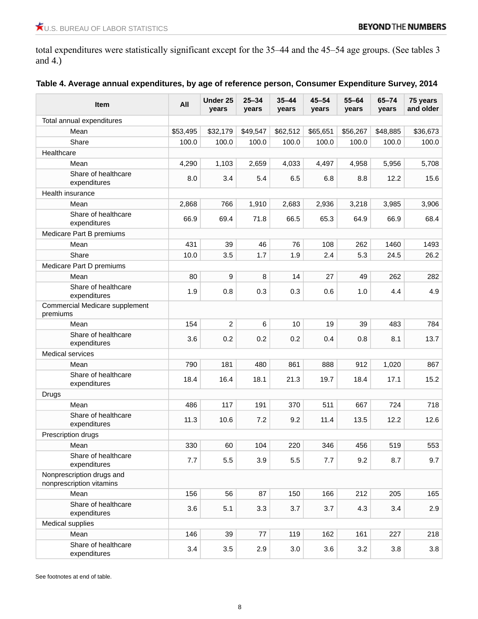total expenditures were statistically significant except for the 35–44 and the 45–54 age groups. (See tables 3 and 4.)

| Item                                                  | All      | Under 25<br>years | $25 - 34$<br>years | $35 - 44$<br>years | $45 - 54$<br>years | $55 - 64$<br>years | 65-74<br>years | 75 years<br>and older |
|-------------------------------------------------------|----------|-------------------|--------------------|--------------------|--------------------|--------------------|----------------|-----------------------|
| Total annual expenditures                             |          |                   |                    |                    |                    |                    |                |                       |
| Mean                                                  | \$53,495 | \$32,179          | \$49,547           | \$62,512           | \$65,651           | \$56,267           | \$48,885       | \$36,673              |
| Share                                                 | 100.0    | 100.0             | 100.0              | 100.0              | 100.0              | 100.0              | 100.0          | 100.0                 |
| Healthcare                                            |          |                   |                    |                    |                    |                    |                |                       |
| Mean                                                  | 4,290    | 1,103             | 2,659              | 4,033              | 4,497              | 4,958              | 5,956          | 5,708                 |
| Share of healthcare<br>expenditures                   | 8.0      | 3.4               | 5.4                | 6.5                | 6.8                | 8.8                | 12.2           | 15.6                  |
| Health insurance                                      |          |                   |                    |                    |                    |                    |                |                       |
| Mean                                                  | 2,868    | 766               | 1,910              | 2,683              | 2,936              | 3,218              | 3,985          | 3,906                 |
| Share of healthcare<br>expenditures                   | 66.9     | 69.4              | 71.8               | 66.5               | 65.3               | 64.9               | 66.9           | 68.4                  |
| Medicare Part B premiums                              |          |                   |                    |                    |                    |                    |                |                       |
| Mean                                                  | 431      | 39                | 46                 | 76                 | 108                | 262                | 1460           | 1493                  |
| Share                                                 | 10.0     | 3.5               | 1.7                | 1.9                | 2.4                | 5.3                | 24.5           | 26.2                  |
| Medicare Part D premiums                              |          |                   |                    |                    |                    |                    |                |                       |
| Mean                                                  | 80       | $\boldsymbol{9}$  | 8                  | 14                 | 27                 | 49                 | 262            | 282                   |
| Share of healthcare<br>expenditures                   | 1.9      | 0.8               | 0.3                | 0.3                | 0.6                | 1.0                | 4.4            | 4.9                   |
| Commercial Medicare supplement<br>premiums            |          |                   |                    |                    |                    |                    |                |                       |
| Mean                                                  | 154      | $\overline{c}$    | 6                  | 10                 | 19                 | 39                 | 483            | 784                   |
| Share of healthcare<br>expenditures                   | 3.6      | 0.2               | 0.2                | 0.2                | 0.4                | 0.8                | 8.1            | 13.7                  |
| Medical services                                      |          |                   |                    |                    |                    |                    |                |                       |
| Mean                                                  | 790      | 181               | 480                | 861                | 888                | 912                | 1,020          | 867                   |
| Share of healthcare<br>expenditures                   | 18.4     | 16.4              | 18.1               | 21.3               | 19.7               | 18.4               | 17.1           | 15.2                  |
| <b>Drugs</b>                                          |          |                   |                    |                    |                    |                    |                |                       |
| Mean                                                  | 486      | 117               | 191                | 370                | 511                | 667                | 724            | 718                   |
| Share of healthcare<br>expenditures                   | 11.3     | 10.6              | 7.2                | 9.2                | 11.4               | 13.5               | 12.2           | 12.6                  |
| Prescription drugs                                    |          |                   |                    |                    |                    |                    |                |                       |
| Mean                                                  | 330      | 60                | 104                | 220                | 346                | 456                | 519            | 553                   |
| Share of healthcare<br>expenditures                   | 7.7      | 5.5               | 3.9                | 5.5                | 7.7                | 9.2                | 8.7            | 9.7                   |
| Nonprescription drugs and<br>nonprescription vitamins |          |                   |                    |                    |                    |                    |                |                       |
| Mean                                                  | 156      | 56                | 87                 | 150                | 166                | 212                | 205            | 165                   |
| Share of healthcare<br>expenditures                   | 3.6      | 5.1               | 3.3                | 3.7                | 3.7                | 4.3                | 3.4            | 2.9                   |
| Medical supplies                                      |          |                   |                    |                    |                    |                    |                |                       |
| Mean                                                  | 146      | 39                | 77                 | 119                | 162                | 161                | 227            | 218                   |
| Share of healthcare<br>expenditures                   | 3.4      | 3.5               | 2.9                | 3.0                | 3.6                | 3.2                | 3.8            | 3.8                   |

See footnotes at end of table.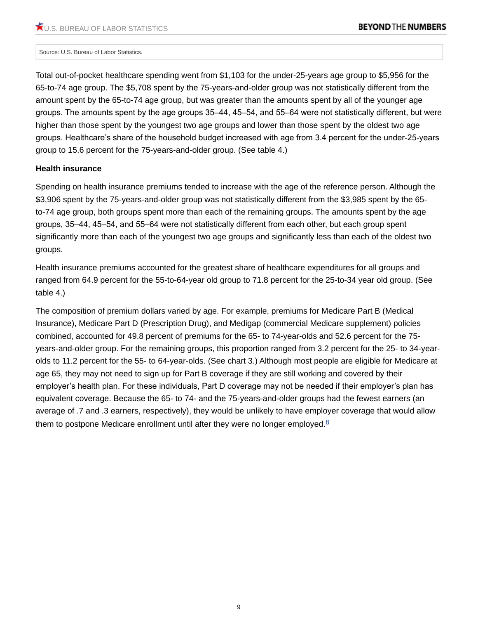#### Source: U.S. Bureau of Labor Statistics.

Total out-of-pocket healthcare spending went from \$1,103 for the under-25-years age group to \$5,956 for the 65-to-74 age group. The \$5,708 spent by the 75-years-and-older group was not statistically different from the amount spent by the 65-to-74 age group, but was greater than the amounts spent by all of the younger age groups. The amounts spent by the age groups 35–44, 45–54, and 55–64 were not statistically different, but were higher than those spent by the youngest two age groups and lower than those spent by the oldest two age groups. Healthcare's share of the household budget increased with age from 3.4 percent for the under-25-years group to 15.6 percent for the 75-years-and-older group. (See table 4.)

#### **Health insurance**

Spending on health insurance premiums tended to increase with the age of the reference person. Although the \$3,906 spent by the 75-years-and-older group was not statistically different from the \$3,985 spent by the 65 to-74 age group, both groups spent more than each of the remaining groups. The amounts spent by the age groups, 35–44, 45–54, and 55–64 were not statistically different from each other, but each group spent significantly more than each of the youngest two age groups and significantly less than each of the oldest two groups.

Health insurance premiums accounted for the greatest share of healthcare expenditures for all groups and ranged from 64.9 percent for the 55-to-64-year old group to 71.8 percent for the 25-to-34 year old group. (See table 4.)

<span id="page-8-0"></span>The composition of premium dollars varied by age. For example, premiums for Medicare Part B (Medical Insurance), Medicare Part D (Prescription Drug), and Medigap (commercial Medicare supplement) policies combined, accounted for 49.8 percent of premiums for the 65- to 74-year-olds and 52.6 percent for the 75 years-and-older group. For the remaining groups, this proportion ranged from 3.2 percent for the 25- to 34-yearolds to 11.2 percent for the 55- to 64-year-olds. (See chart 3.) Although most people are eligible for Medicare at age 65, they may not need to sign up for Part B coverage if they are still working and covered by their employer's health plan. For these individuals, Part D coverage may not be needed if their employer's plan has equivalent coverage. Because the 65- to 74- and the 75-years-and-older groups had the fewest earners (an average of .7 and .3 earners, respectively), they would be unlikely to have employer coverage that would allow them to postpone Medicare enrollment until after they were no longer employed. $8$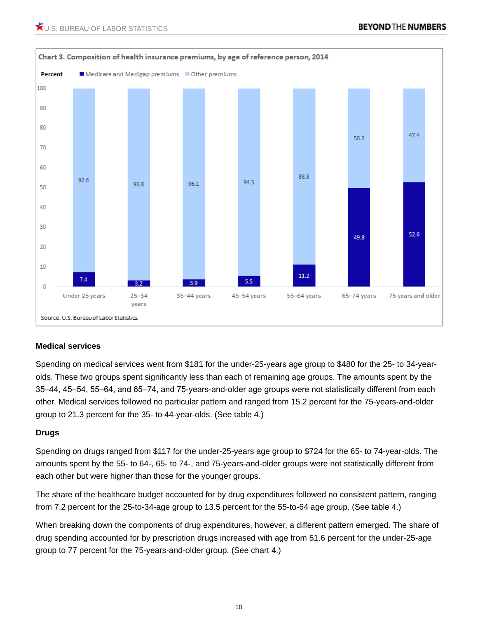

## **Medical services**

Spending on medical services went from \$181 for the under-25-years age group to \$480 for the 25- to 34-yearolds. These two groups spent significantly less than each of remaining age groups. The amounts spent by the 35–44, 45–54, 55–64, and 65–74, and 75-years-and-older age groups were not statistically different from each other. Medical services followed no particular pattern and ranged from 15.2 percent for the 75-years-and-older group to 21.3 percent for the 35- to 44-year-olds. (See table 4.)

## **Drugs**

Spending on drugs ranged from \$117 for the under-25-years age group to \$724 for the 65- to 74-year-olds. The amounts spent by the 55- to 64-, 65- to 74-, and 75-years-and-older groups were not statistically different from each other but were higher than those for the younger groups.

The share of the healthcare budget accounted for by drug expenditures followed no consistent pattern, ranging from 7.2 percent for the 25-to-34-age group to 13.5 percent for the 55-to-64 age group. (See table 4.)

When breaking down the components of drug expenditures, however, a different pattern emerged. The share of drug spending accounted for by prescription drugs increased with age from 51.6 percent for the under-25-age group to 77 percent for the 75-years-and-older group. (See chart 4.)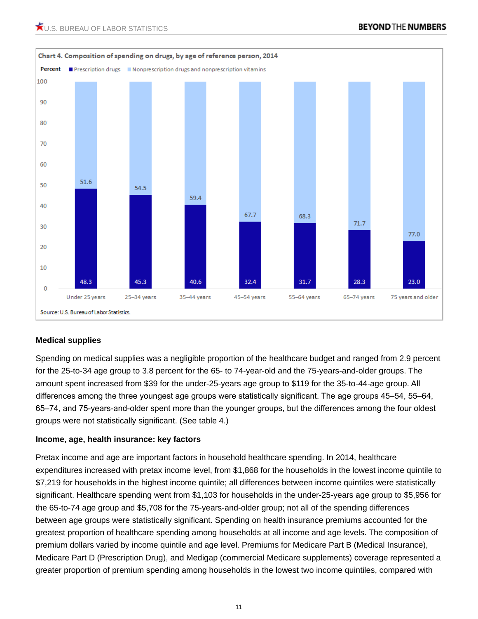

# **Medical supplies**

Spending on medical supplies was a negligible proportion of the healthcare budget and ranged from 2.9 percent for the 25-to-34 age group to 3.8 percent for the 65- to 74-year-old and the 75-years-and-older groups. The amount spent increased from \$39 for the under-25-years age group to \$119 for the 35-to-44-age group. All differences among the three youngest age groups were statistically significant. The age groups 45–54, 55–64, 65–74, and 75-years-and-older spent more than the younger groups, but the differences among the four oldest groups were not statistically significant. (See table 4.)

## **Income, age, health insurance: key factors**

Pretax income and age are important factors in household healthcare spending. In 2014, healthcare expenditures increased with pretax income level, from \$1,868 for the households in the lowest income quintile to \$7,219 for households in the highest income quintile; all differences between income quintiles were statistically significant. Healthcare spending went from \$1,103 for households in the under-25-years age group to \$5,956 for the 65-to-74 age group and \$5,708 for the 75-years-and-older group; not all of the spending differences between age groups were statistically significant. Spending on health insurance premiums accounted for the greatest proportion of healthcare spending among households at all income and age levels. The composition of premium dollars varied by income quintile and age level. Premiums for Medicare Part B (Medical Insurance), Medicare Part D (Prescription Drug), and Medigap (commercial Medicare supplements) coverage represented a greater proportion of premium spending among households in the lowest two income quintiles, compared with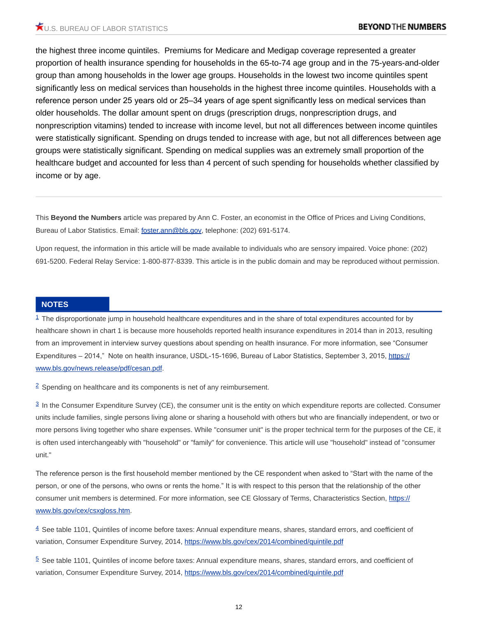the highest three income quintiles. Premiums for Medicare and Medigap coverage represented a greater proportion of health insurance spending for households in the 65-to-74 age group and in the 75-years-and-older group than among households in the lower age groups. Households in the lowest two income quintiles spent significantly less on medical services than households in the highest three income quintiles. Households with a reference person under 25 years old or 25–34 years of age spent significantly less on medical services than older households. The dollar amount spent on drugs (prescription drugs, nonprescription drugs, and nonprescription vitamins) tended to increase with income level, but not all differences between income quintiles were statistically significant. Spending on drugs tended to increase with age, but not all differences between age groups were statistically significant. Spending on medical supplies was an extremely small proportion of the healthcare budget and accounted for less than 4 percent of such spending for households whether classified by income or by age.

This **Beyond the Numbers** article was prepared by Ann C. Foster, an economist in the Office of Prices and Living Conditions, Bureau of Labor Statistics. Email: [foster.ann@bls.gov](mailto:foster.ann@bls.gov), telephone: (202) 691-5174.

Upon request, the information in this article will be made available to individuals who are sensory impaired. Voice phone: (202) 691-5200. Federal Relay Service: 1-800-877-8339. This article is in the public domain and may be reproduced without permission.

#### **NOTES**

<span id="page-11-0"></span> $1$  The disproportionate jump in household healthcare expenditures and in the share of total expenditures accounted for by healthcare shown in chart 1 is because more households reported health insurance expenditures in 2014 than in 2013, resulting from an improvement in interview survey questions about spending on health insurance. For more information, see "Consumer Expenditures - 2014," Note on health insurance, USDL-15-1696, Bureau of Labor Statistics, September 3, 2015, [https://](https://www.bls.gov/news.release/pdf/cesan.pdf) [www.bls.gov/news.release/pdf/cesan.pdf.](https://www.bls.gov/news.release/pdf/cesan.pdf)

<span id="page-11-1"></span><sup>[2](#page-1-0)</sup> Spending on healthcare and its components is net of any reimbursement.

<span id="page-11-2"></span> $\frac{3}{2}$  $\frac{3}{2}$  $\frac{3}{2}$  In the Consumer Expenditure Survey (CE), the consumer unit is the entity on which expenditure reports are collected. Consumer units include families, single persons living alone or sharing a household with others but who are financially independent, or two or more persons living together who share expenses. While "consumer unit" is the proper technical term for the purposes of the CE, it is often used interchangeably with "household" or "family" for convenience. This article will use "household" instead of "consumer unit."

The reference person is the first household member mentioned by the CE respondent when asked to "Start with the name of the person, or one of the persons, who owns or rents the home." It is with respect to this person that the relationship of the other consumer unit members is determined. For more information, see CE Glossary of Terms, Characteristics Section, [https://](https://www.bls.gov/cex/csxgloss.htm) [www.bls.gov/cex/csxgloss.htm.](https://www.bls.gov/cex/csxgloss.htm)

<span id="page-11-3"></span> $4$  See table 1101, Quintiles of income before taxes: Annual expenditure means, shares, standard errors, and coefficient of variation, Consumer Expenditure Survey, 2014,<https://www.bls.gov/cex/2014/combined/quintile.pdf>

<span id="page-11-4"></span> $5$  See table 1101, Quintiles of income before taxes: Annual expenditure means, shares, standard errors, and coefficient of variation, Consumer Expenditure Survey, 2014,<https://www.bls.gov/cex/2014/combined/quintile.pdf>